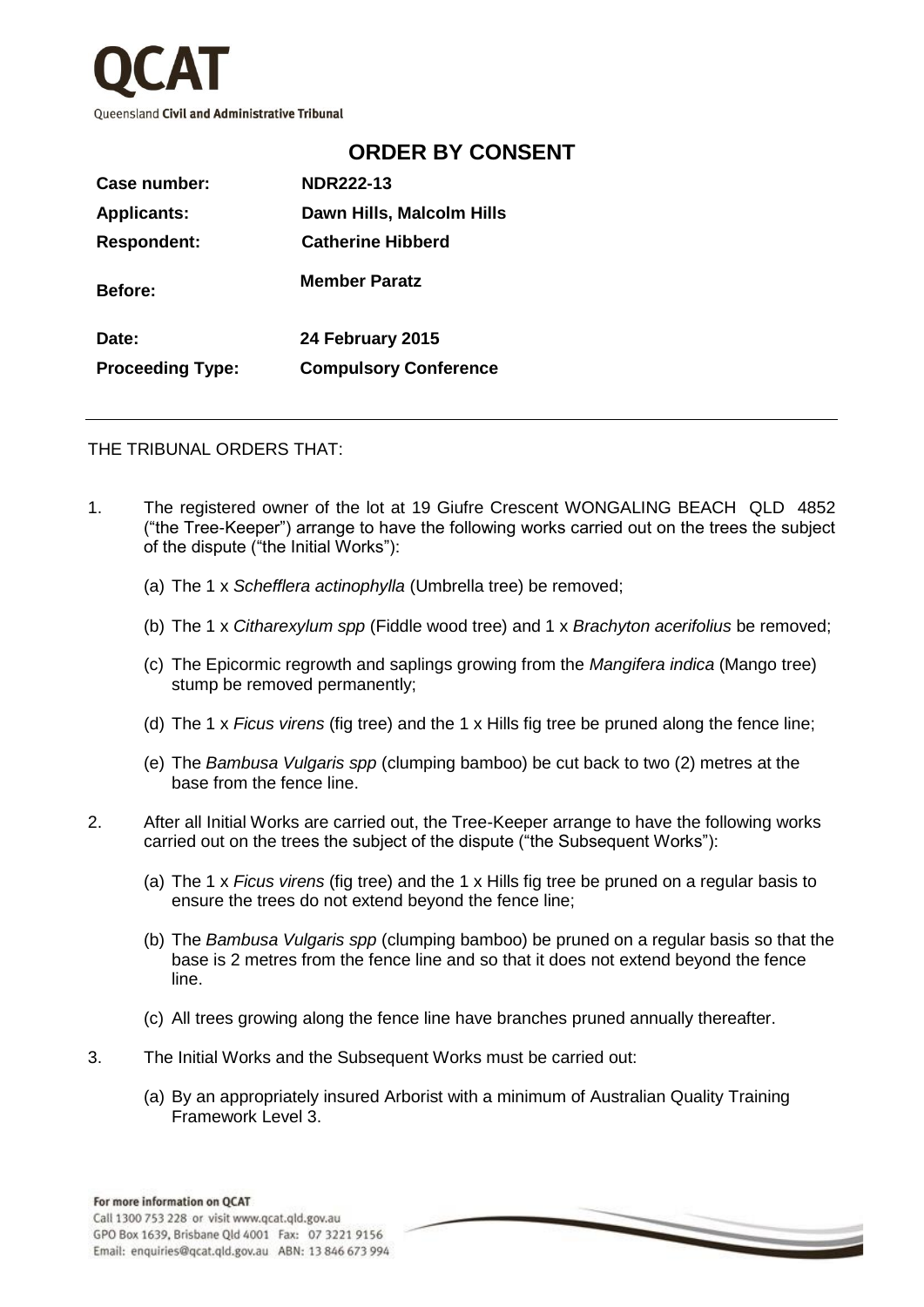

| Case number:            | <b>NDR222-13</b>             |
|-------------------------|------------------------------|
| <b>Applicants:</b>      | Dawn Hills, Malcolm Hills    |
| <b>Respondent:</b>      | <b>Catherine Hibberd</b>     |
| <b>Before:</b>          | <b>Member Paratz</b>         |
| Date:                   | 24 February 2015             |
| <b>Proceeding Type:</b> | <b>Compulsory Conference</b> |

## THE TRIBUNAL ORDERS THAT:

1. The registered owner of the lot at 19 Giufre Crescent WONGALING BEACH QLD 4852 ("the Tree-Keeper") arrange to have the following works carried out on the trees the subject of the dispute ("the Initial Works"):

**ORDER BY CONSENT**

- (a) The 1 x *Schefflera actinophylla* (Umbrella tree) be removed;
- (b) The 1 x *Citharexylum spp* (Fiddle wood tree) and 1 x *Brachyton acerifolius* be removed;
- (c) The Epicormic regrowth and saplings growing from the *Mangifera indica* (Mango tree) stump be removed permanently;
- (d) The 1 x *Ficus virens* (fig tree) and the 1 x Hills fig tree be pruned along the fence line;
- (e) The *Bambusa Vulgaris spp* (clumping bamboo) be cut back to two (2) metres at the base from the fence line.
- 2. After all Initial Works are carried out, the Tree-Keeper arrange to have the following works carried out on the trees the subject of the dispute ("the Subsequent Works"):
	- (a) The 1 x *Ficus virens* (fig tree) and the 1 x Hills fig tree be pruned on a regular basis to ensure the trees do not extend beyond the fence line;
	- (b) The *Bambusa Vulgaris spp* (clumping bamboo) be pruned on a regular basis so that the base is 2 metres from the fence line and so that it does not extend beyond the fence line.
	- (c) All trees growing along the fence line have branches pruned annually thereafter.
- 3. The Initial Works and the Subsequent Works must be carried out:
	- (a) By an appropriately insured Arborist with a minimum of Australian Quality Training Framework Level 3.

 $\implies$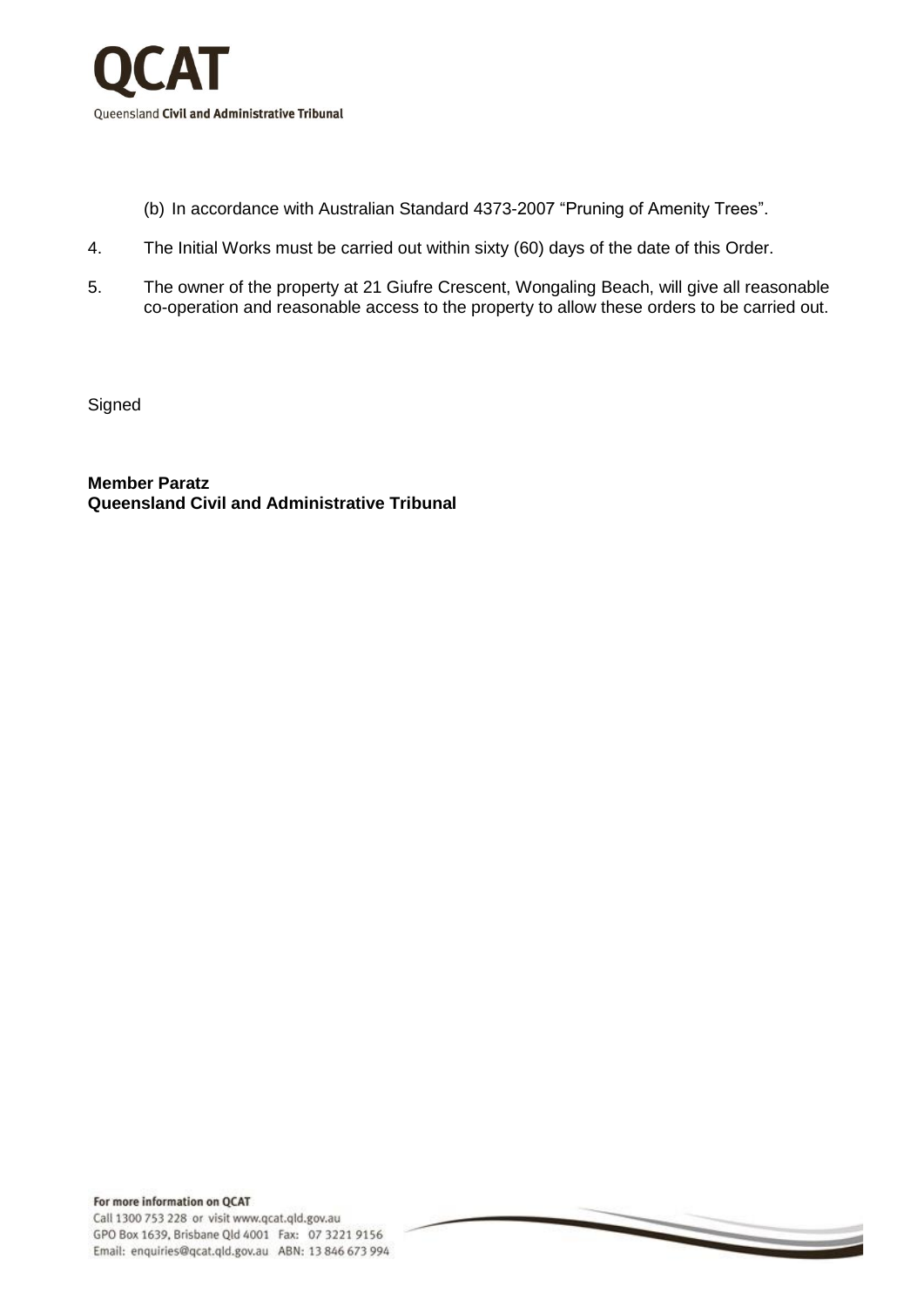

- (b) In accordance with Australian Standard 4373-2007 "Pruning of Amenity Trees".
- 4. The Initial Works must be carried out within sixty (60) days of the date of this Order.
- 5. The owner of the property at 21 Giufre Crescent, Wongaling Beach, will give all reasonable co-operation and reasonable access to the property to allow these orders to be carried out.

**Signed** 

**Member Paratz Queensland Civil and Administrative Tribunal**